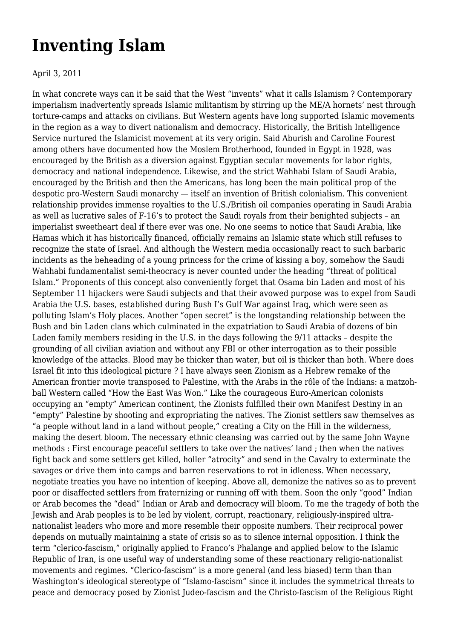## **[Inventing Islam](https://newpol.org/inventing-islam/)**

## April 3, 2011

In what concrete ways can it be said that the West "invents" what it calls Islamism ? Contemporary imperialism inadvertently spreads Islamic militantism by stirring up the ME/A hornets' nest through torture-camps and attacks on civilians. But Western agents have long supported Islamic movements in the region as a way to divert nationalism and democracy. Historically, the British Intelligence Service nurtured the Islamicist movement at its very origin. Said Aburish and Caroline Fourest among others have documented how the Moslem Brotherhood, founded in Egypt in 1928, was encouraged by the British as a diversion against Egyptian secular movements for labor rights, democracy and national independence. Likewise, and the strict Wahhabi Islam of Saudi Arabia, encouraged by the British and then the Americans, has long been the main political prop of the despotic pro-Western Saudi monarchy — itself an invention of British colonialism. This convenient relationship provides immense royalties to the U.S./British oil companies operating in Saudi Arabia as well as lucrative sales of F-16's to protect the Saudi royals from their benighted subjects – an imperialist sweetheart deal if there ever was one. No one seems to notice that Saudi Arabia, like Hamas which it has historically financed, officially remains an Islamic state which still refuses to recognize the state of Israel. And although the Western media occasionally react to such barbaric incidents as the beheading of a young princess for the crime of kissing a boy, somehow the Saudi Wahhabi fundamentalist semi-theocracy is never counted under the heading "threat of political Islam." Proponents of this concept also conveniently forget that Osama bin Laden and most of his September 11 hijackers were Saudi subjects and that their avowed purpose was to expel from Saudi Arabia the U.S. bases, established during Bush I's Gulf War against Iraq, which were seen as polluting Islam's Holy places. Another "open secret" is the longstanding relationship between the Bush and bin Laden clans which culminated in the expatriation to Saudi Arabia of dozens of bin Laden family members residing in the U.S. in the days following the 9/11 attacks – despite the grounding of all civilian aviation and without any FBI or other interrogation as to their possible knowledge of the attacks. Blood may be thicker than water, but oil is thicker than both. Where does Israel fit into this ideological picture ? I have always seen Zionism as a Hebrew remake of the American frontier movie transposed to Palestine, with the Arabs in the rôle of the Indians: a matzohball Western called "How the East Was Won." Like the courageous Euro-American colonists occupying an "empty" American continent, the Zionists fulfilled their own Manifest Destiny in an "empty" Palestine by shooting and expropriating the natives. The Zionist settlers saw themselves as "a people without land in a land without people," creating a City on the Hill in the wilderness, making the desert bloom. The necessary ethnic cleansing was carried out by the same John Wayne methods : First encourage peaceful settlers to take over the natives' land ; then when the natives fight back and some settlers get killed, holler "atrocity" and send in the Cavalry to exterminate the savages or drive them into camps and barren reservations to rot in idleness. When necessary, negotiate treaties you have no intention of keeping. Above all, demonize the natives so as to prevent poor or disaffected settlers from fraternizing or running off with them. Soon the only "good" Indian or Arab becomes the "dead" Indian or Arab and democracy will bloom. To me the tragedy of both the Jewish and Arab peoples is to be led by violent, corrupt, reactionary, religiously-inspired ultranationalist leaders who more and more resemble their opposite numbers. Their reciprocal power depends on mutually maintaining a state of crisis so as to silence internal opposition. I think the term "clerico-fascism," originally applied to Franco's Phalange and applied below to the Islamic Republic of Iran, is one useful way of understanding some of these reactionary religio-nationalist movements and regimes. "Clerico-fascism" is a more general (and less biased) term than than Washington's ideological stereotype of "Islamo-fascism" since it includes the symmetrical threats to peace and democracy posed by Zionist Judeo-fascism and the Christo-fascism of the Religious Right